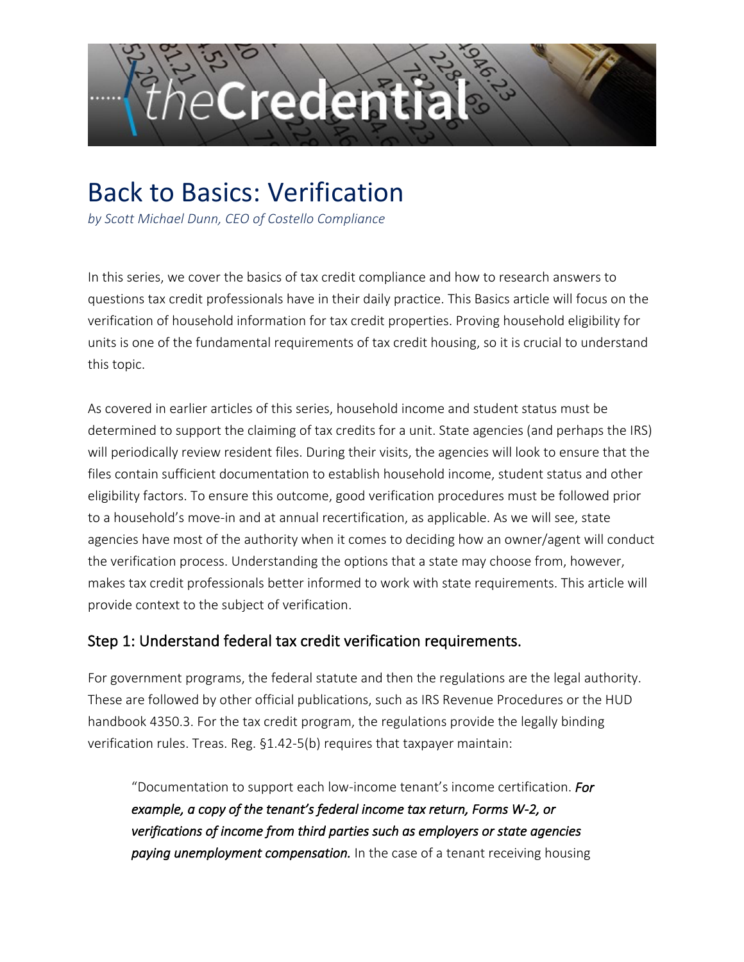

# Back to Basics: Verification

*by Scott Michael Dunn, CEO of Costello Compliance*

In this series, we cover the basics of tax credit compliance and how to research answers to questions tax credit professionals have in their daily practice. This Basics article will focus on the verification of household information for tax credit properties. Proving household eligibility for units is one of the fundamental requirements of tax credit housing, so it is crucial to understand this topic.

As covered in earlier articles of this series, household income and student status must be determined to support the claiming of tax credits for a unit. State agencies (and perhaps the IRS) will periodically review resident files. During their visits, the agencies will look to ensure that the files contain sufficient documentation to establish household income, student status and other eligibility factors. To ensure this outcome, good verification procedures must be followed prior to a household's move-in and at annual recertification, as applicable. As we will see, state agencies have most of the authority when it comes to deciding how an owner/agent will conduct the verification process. Understanding the options that a state may choose from, however, makes tax credit professionals better informed to work with state requirements. This article will provide context to the subject of verification.

#### Step 1: Understand federal tax credit verification requirements.

For government programs, the federal statute and then the regulations are the legal authority. These are followed by other official publications, such as IRS Revenue Procedures or the HUD handbook 4350.3. For the tax credit program, the regulations provide the legally binding verification rules. Treas. Reg. §1.42-5(b) requires that taxpayer maintain:

"Documentation to support each low-income tenant's income certification. *For example, a copy of the tenant's federal income tax return, Forms W-2, or verifications of income from third parties such as employers or state agencies paying unemployment compensation.* In the case of a tenant receiving housing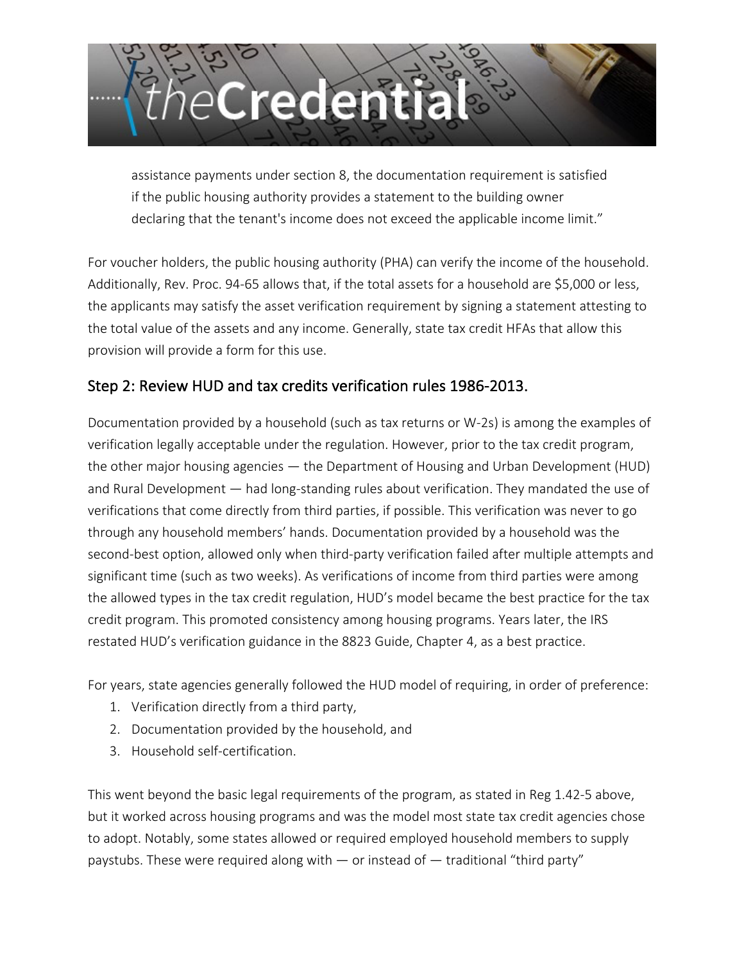

assistance payments under section 8, the documentation requirement is satisfied if the public housing authority provides a statement to the building owner declaring that the tenant's income does not exceed the applicable income limit."

For voucher holders, the public housing authority (PHA) can verify the income of the household. Additionally, Rev. Proc. 94-65 allows that, if the total assets for a household are \$5,000 or less, the applicants may satisfy the asset verification requirement by signing a statement attesting to the total value of the assets and any income. Generally, state tax credit HFAs that allow this provision will provide a form for this use.

## Step 2: Review HUD and tax credits verification rules 1986-2013.

Documentation provided by a household (such as tax returns or W-2s) is among the examples of verification legally acceptable under the regulation. However, prior to the tax credit program, the other major housing agencies — the Department of Housing and Urban Development (HUD) and Rural Development — had long-standing rules about verification. They mandated the use of verifications that come directly from third parties, if possible. This verification was never to go through any household members' hands. Documentation provided by a household was the second-best option, allowed only when third-party verification failed after multiple attempts and significant time (such as two weeks). As verifications of income from third parties were among the allowed types in the tax credit regulation, HUD's model became the best practice for the tax credit program. This promoted consistency among housing programs. Years later, the IRS restated HUD's verification guidance in the 8823 Guide, Chapter 4, as a best practice.

For years, state agencies generally followed the HUD model of requiring, in order of preference:

- 1. Verification directly from a third party,
- 2. Documentation provided by the household, and
- 3. Household self-certification.

This went beyond the basic legal requirements of the program, as stated in Reg 1.42-5 above, but it worked across housing programs and was the model most state tax credit agencies chose to adopt. Notably, some states allowed or required employed household members to supply paystubs. These were required along with  $-$  or instead of  $-$  traditional "third party"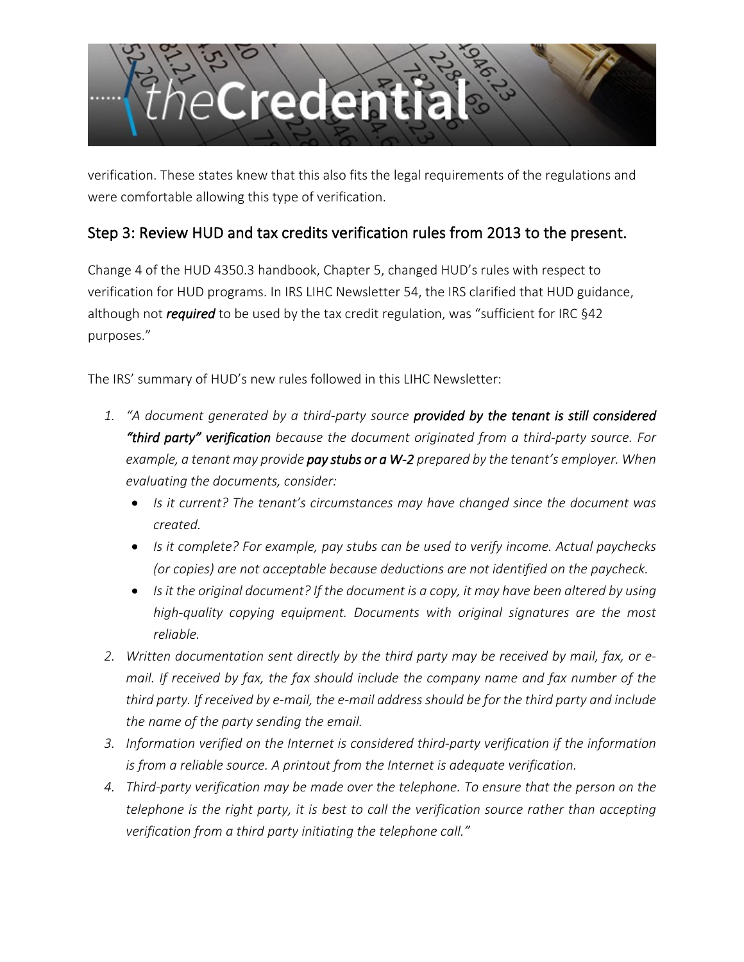

verification. These states knew that this also fits the legal requirements of the regulations and were comfortable allowing this type of verification.

## Step 3: Review HUD and tax credits verification rules from 2013 to the present.

Change 4 of the HUD 4350.3 handbook, Chapter 5, changed HUD's rules with respect to verification for HUD programs. In IRS LIHC Newsletter 54, the IRS clarified that HUD guidance, although not *required* to be used by the tax credit regulation, was "sufficient for IRC §42 purposes."

The IRS' summary of HUD's new rules followed in this LIHC Newsletter:

- *1. "A document generated by a third-party source provided by the tenant is still considered "third party" verification because the document originated from a third-party source. For example, a tenant may provide pay stubs or a W-2 prepared by the tenant's employer. When evaluating the documents, consider:* 
	- *Is it current? The tenant's circumstances may have changed since the document was created.*
	- *Is it complete? For example, pay stubs can be used to verify income. Actual paychecks (or copies) are not acceptable because deductions are not identified on the paycheck.*
	- *Is it the original document? If the document is a copy, it may have been altered by using high-quality copying equipment. Documents with original signatures are the most reliable.*
- *2. Written documentation sent directly by the third party may be received by mail, fax, or email. If received by fax, the fax should include the company name and fax number of the third party. If received by e-mail, the e-mail address should be for the third party and include the name of the party sending the email.*
- *3. Information verified on the Internet is considered third-party verification if the information is from a reliable source. A printout from the Internet is adequate verification.*
- *4. Third-party verification may be made over the telephone. To ensure that the person on the telephone is the right party, it is best to call the verification source rather than accepting verification from a third party initiating the telephone call."*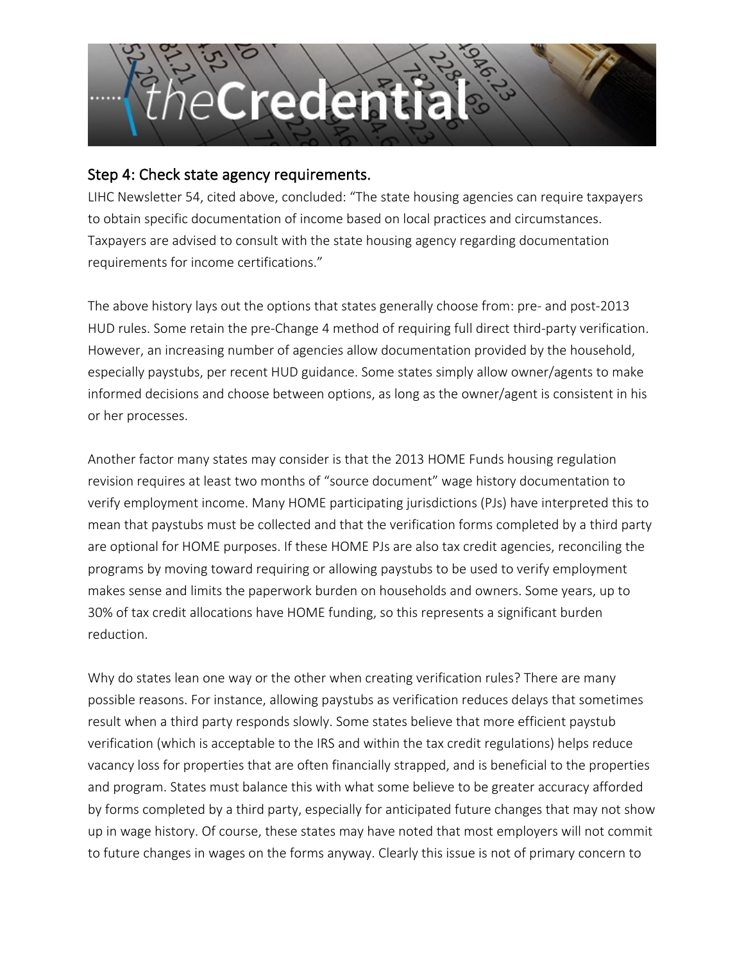

#### Step 4: Check state agency requirements.

LIHC Newsletter 54, cited above, concluded: "The state housing agencies can require taxpayers to obtain specific documentation of income based on local practices and circumstances. Taxpayers are advised to consult with the state housing agency regarding documentation requirements for income certifications."

The above history lays out the options that states generally choose from: pre- and post-2013 HUD rules. Some retain the pre-Change 4 method of requiring full direct third-party verification. However, an increasing number of agencies allow documentation provided by the household, especially paystubs, per recent HUD guidance. Some states simply allow owner/agents to make informed decisions and choose between options, as long as the owner/agent is consistent in his or her processes.

Another factor many states may consider is that the 2013 HOME Funds housing regulation revision requires at least two months of "source document" wage history documentation to verify employment income. Many HOME participating jurisdictions (PJs) have interpreted this to mean that paystubs must be collected and that the verification forms completed by a third party are optional for HOME purposes. If these HOME PJs are also tax credit agencies, reconciling the programs by moving toward requiring or allowing paystubs to be used to verify employment makes sense and limits the paperwork burden on households and owners. Some years, up to 30% of tax credit allocations have HOME funding, so this represents a significant burden reduction.

Why do states lean one way or the other when creating verification rules? There are many possible reasons. For instance, allowing paystubs as verification reduces delays that sometimes result when a third party responds slowly. Some states believe that more efficient paystub verification (which is acceptable to the IRS and within the tax credit regulations) helps reduce vacancy loss for properties that are often financially strapped, and is beneficial to the properties and program. States must balance this with what some believe to be greater accuracy afforded by forms completed by a third party, especially for anticipated future changes that may not show up in wage history. Of course, these states may have noted that most employers will not commit to future changes in wages on the forms anyway. Clearly this issue is not of primary concern to